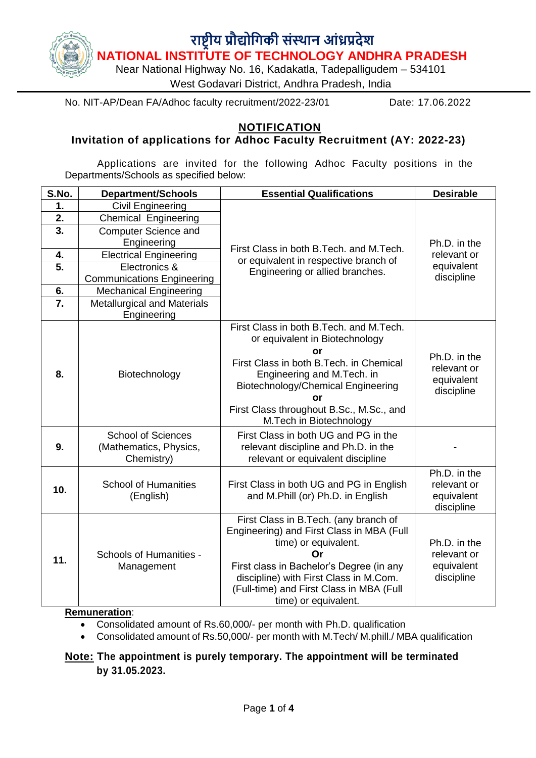

No. NIT-AP/Dean FA/Adhoc faculty recruitment/2022-23/01 Date: 17.06.2022

#### **NOTIFICATION**

## **Invitation of applications for Adhoc Faculty Recruitment (AY: 2022-23)**

Applications are invited for the following Adhoc Faculty positions in the Departments/Schools as specified below:

| S.No.         | <b>Department/Schools</b>                                         | <b>Essential Qualifications</b>                                                                                                                                                                                                                                             | <b>Desirable</b>                                        |  |  |
|---------------|-------------------------------------------------------------------|-----------------------------------------------------------------------------------------------------------------------------------------------------------------------------------------------------------------------------------------------------------------------------|---------------------------------------------------------|--|--|
| $\mathbf 1$ . | Civil Engineering                                                 |                                                                                                                                                                                                                                                                             |                                                         |  |  |
| 2.            | <b>Chemical Engineering</b>                                       |                                                                                                                                                                                                                                                                             |                                                         |  |  |
| 3.            | <b>Computer Science and</b>                                       |                                                                                                                                                                                                                                                                             |                                                         |  |  |
|               | Engineering                                                       | First Class in both B.Tech. and M.Tech.                                                                                                                                                                                                                                     | Ph.D. in the                                            |  |  |
| 4.            | <b>Electrical Engineering</b>                                     | or equivalent in respective branch of                                                                                                                                                                                                                                       | relevant or                                             |  |  |
| 5.            | Electronics &                                                     | Engineering or allied branches.                                                                                                                                                                                                                                             | equivalent                                              |  |  |
|               | <b>Communications Engineering</b>                                 |                                                                                                                                                                                                                                                                             | discipline                                              |  |  |
| 6.            | <b>Mechanical Engineering</b>                                     |                                                                                                                                                                                                                                                                             |                                                         |  |  |
| 7.            | <b>Metallurgical and Materials</b>                                |                                                                                                                                                                                                                                                                             |                                                         |  |  |
|               | Engineering                                                       |                                                                                                                                                                                                                                                                             |                                                         |  |  |
| 8.            | Biotechnology                                                     | First Class in both B.Tech, and M.Tech.<br>or equivalent in Biotechnology<br>or<br>First Class in both B.Tech. in Chemical<br>Engineering and M.Tech. in<br>Biotechnology/Chemical Engineering<br>or<br>First Class throughout B.Sc., M.Sc., and<br>M.Tech in Biotechnology |                                                         |  |  |
| 9.            | <b>School of Sciences</b><br>(Mathematics, Physics,<br>Chemistry) | First Class in both UG and PG in the<br>relevant discipline and Ph.D. in the<br>relevant or equivalent discipline                                                                                                                                                           |                                                         |  |  |
| 10.           | <b>School of Humanities</b><br>(English)                          | First Class in both UG and PG in English<br>and M.Phill (or) Ph.D. in English                                                                                                                                                                                               | Ph.D. in the<br>relevant or<br>equivalent<br>discipline |  |  |
| 11.           | <b>Schools of Humanities -</b><br>Management                      | First Class in B.Tech. (any branch of<br>Engineering) and First Class in MBA (Full<br>time) or equivalent.<br>Ωr<br>First class in Bachelor's Degree (in any<br>discipline) with First Class in M.Com.<br>(Full-time) and First Class in MBA (Full<br>time) or equivalent.  | Ph.D. in the<br>relevant or<br>equivalent<br>discipline |  |  |

#### **Remuneration**:

- Consolidated amount of Rs.60,000/- per month with Ph.D. qualification
- Consolidated amount of Rs.50,000/- per month with M.Tech/ M.phill./ MBA qualification

**Note: The appointment is purely temporary. The appointment will be terminated by 31.05.2023.**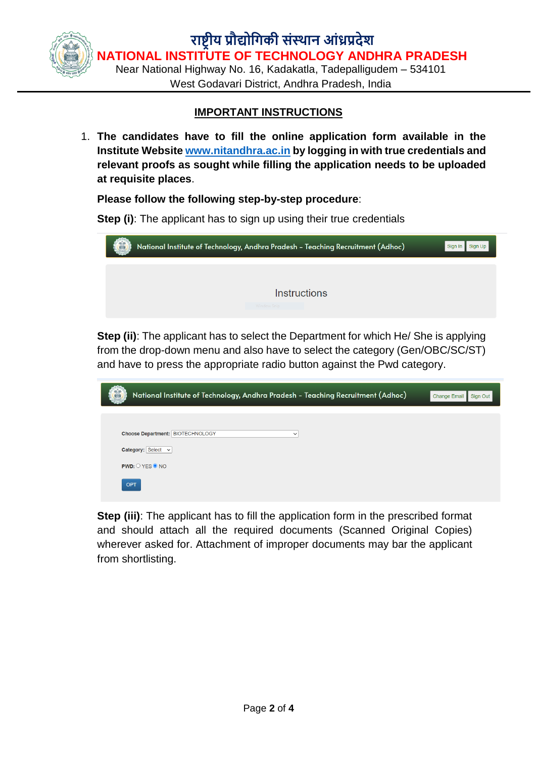**राष्ट्रीय प्रौद्योगिकी संस्थान आंध्रप्रदेश NATIONAL INSTITUTE OF TECHNOLOGY ANDHRA PRADESH**

Near National Highway No. 16, Kadakatla, Tadepalligudem – 534101 West Godavari District, Andhra Pradesh, India

## **IMPORTANT INSTRUCTIONS**

1. **The candidates have to fill the online application form available in the Institute Website [www.nitandhra.ac.in](http://www.nitandhra.ac.in/) by logging in with true credentials and relevant proofs as sought while filling the application needs to be uploaded at requisite places**.

#### **Please follow the following step-by-step procedure**:

**Step (i)**: The applicant has to sign up using their true credentials

| National Institute of Technology, Andhra Pradesh - Teaching Recruitment (Adhoc)<br>Sign In |  |  |  |  |  |  |
|--------------------------------------------------------------------------------------------|--|--|--|--|--|--|
|                                                                                            |  |  |  |  |  |  |
| <b>Instructions</b>                                                                        |  |  |  |  |  |  |
| Window Snip                                                                                |  |  |  |  |  |  |

**Step (ii)**: The applicant has to select the Department for which He/ She is applying from the drop-down menu and also have to select the category (Gen/OBC/SC/ST) and have to press the appropriate radio button against the Pwd category.

| National Institute of Technology, Andhra Pradesh - Teaching Recruitment (Adhoc) | <b>Change Email</b><br>Sign Out |
|---------------------------------------------------------------------------------|---------------------------------|
|                                                                                 |                                 |
| <b>Choose Department: BIOTECHNOLOGY</b><br>$\check{~}$                          |                                 |
| Category: Select v                                                              |                                 |
| $PWD:$ $OYES$ $QNO$                                                             |                                 |
| <b>OPT</b>                                                                      |                                 |

**Step (iii)**: The applicant has to fill the application form in the prescribed format and should attach all the required documents (Scanned Original Copies) wherever asked for. Attachment of improper documents may bar the applicant from shortlisting.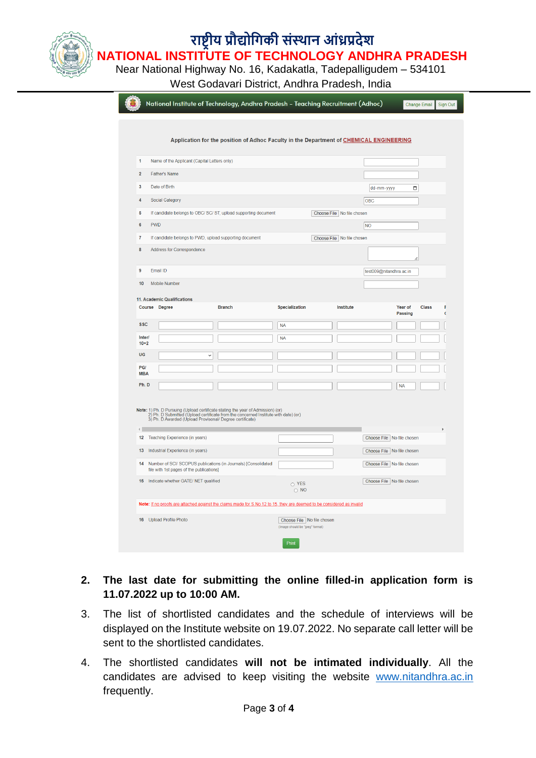# **राष्ट्रीय प्रौद्योगिकी संस्थान आंध्रप्रदेश**

**NATIONAL INSTITUTE OF TECHNOLOGY ANDHRA PRADESH** Near National Highway No. 16, Kadakatla, Tadepalligudem – 534101

West Godavari District, Andhra Pradesh, India

| Application for the position of Adhoc Faculty in the Department of CHEMICAL ENGINEERING<br>Name of the Applicant (Capital Letters only)<br>$\overline{1}$<br>$\overline{2}$<br><b>Father's Name</b><br>$\overline{\mathbf{3}}$<br>Date of Birth<br>dd-mm-yyyy<br>О<br>$\Delta$<br>Social Category<br>OBC<br>5<br>If candidate belongs to OBC/ SC/ ST, upload supporting document<br>Choose File   No file chosen<br><b>PWD</b><br>$\boldsymbol{6}$<br><b>NO</b><br>$\overline{7}$<br>If candidate belongs to PWD, upload supporting document<br>Choose File No file chosen<br>8<br>Address for Correspondence<br>h<br>9<br>Email ID<br>test009@nitandhra.ac.in<br>10<br>Mobile Number<br>Institute<br>Course Degree<br><b>Branch</b><br>Specialization<br>Year of<br>Class<br>F<br>Passing<br>C<br><b>SSC</b><br><b>NA</b><br>Inter/<br><b>NA</b><br>$10+2$<br>UG<br>$\check{ }$<br>PG/<br><b>MBA</b><br>Ph.D<br><b>NA</b><br>2) Ph. D Submitted (Upload certificate from the concerned Institute with date) (or)<br>3) Ph. D Awarded (Upload Provisonal/ Degree certificate)<br>$\left\vert 1\right\rangle$<br>12<br>Teaching Experience (in years)<br>Choose File No file chosen<br>13<br>Industrial Experience (in years)<br>Choose File No file chosen<br>Number of SCI/ SCOPUS publications (in Journals) [Consolidated<br>14<br>Choose File   No file chosen<br>file with 1st pages of the publications]<br>Indicate whether GATE/ NET qualified<br>15<br>Choose File   No file chosen<br>O YES<br>$\circ$ NO<br>Note: If no proofs are attached against the claims made for S.No 12 to 15, they are deemed to be considered as invalid<br>16 Upload Profile Photo<br>Choose File   No file chosen<br>(Image should be "jpeg" format)<br>Print | National Institute of Technology, Andhra Pradesh - Teaching Recruitment (Adhoc) |  |  |  |  |  | <b>Change Email</b> | Sign Out |
|------------------------------------------------------------------------------------------------------------------------------------------------------------------------------------------------------------------------------------------------------------------------------------------------------------------------------------------------------------------------------------------------------------------------------------------------------------------------------------------------------------------------------------------------------------------------------------------------------------------------------------------------------------------------------------------------------------------------------------------------------------------------------------------------------------------------------------------------------------------------------------------------------------------------------------------------------------------------------------------------------------------------------------------------------------------------------------------------------------------------------------------------------------------------------------------------------------------------------------------------------------------------------------------------------------------------------------------------------------------------------------------------------------------------------------------------------------------------------------------------------------------------------------------------------------------------------------------------------------------------------------------------------------------------------------------------------------------------------------------------------|---------------------------------------------------------------------------------|--|--|--|--|--|---------------------|----------|
|                                                                                                                                                                                                                                                                                                                                                                                                                                                                                                                                                                                                                                                                                                                                                                                                                                                                                                                                                                                                                                                                                                                                                                                                                                                                                                                                                                                                                                                                                                                                                                                                                                                                                                                                                      |                                                                                 |  |  |  |  |  |                     |          |
| 11. Academic Qualifications<br>Note: 1) Ph. D Pursuing (Upload certificate stating the year of Admission) (or)                                                                                                                                                                                                                                                                                                                                                                                                                                                                                                                                                                                                                                                                                                                                                                                                                                                                                                                                                                                                                                                                                                                                                                                                                                                                                                                                                                                                                                                                                                                                                                                                                                       |                                                                                 |  |  |  |  |  |                     |          |
|                                                                                                                                                                                                                                                                                                                                                                                                                                                                                                                                                                                                                                                                                                                                                                                                                                                                                                                                                                                                                                                                                                                                                                                                                                                                                                                                                                                                                                                                                                                                                                                                                                                                                                                                                      |                                                                                 |  |  |  |  |  |                     |          |
|                                                                                                                                                                                                                                                                                                                                                                                                                                                                                                                                                                                                                                                                                                                                                                                                                                                                                                                                                                                                                                                                                                                                                                                                                                                                                                                                                                                                                                                                                                                                                                                                                                                                                                                                                      |                                                                                 |  |  |  |  |  |                     |          |
|                                                                                                                                                                                                                                                                                                                                                                                                                                                                                                                                                                                                                                                                                                                                                                                                                                                                                                                                                                                                                                                                                                                                                                                                                                                                                                                                                                                                                                                                                                                                                                                                                                                                                                                                                      |                                                                                 |  |  |  |  |  |                     |          |
|                                                                                                                                                                                                                                                                                                                                                                                                                                                                                                                                                                                                                                                                                                                                                                                                                                                                                                                                                                                                                                                                                                                                                                                                                                                                                                                                                                                                                                                                                                                                                                                                                                                                                                                                                      |                                                                                 |  |  |  |  |  |                     |          |
|                                                                                                                                                                                                                                                                                                                                                                                                                                                                                                                                                                                                                                                                                                                                                                                                                                                                                                                                                                                                                                                                                                                                                                                                                                                                                                                                                                                                                                                                                                                                                                                                                                                                                                                                                      |                                                                                 |  |  |  |  |  |                     |          |
|                                                                                                                                                                                                                                                                                                                                                                                                                                                                                                                                                                                                                                                                                                                                                                                                                                                                                                                                                                                                                                                                                                                                                                                                                                                                                                                                                                                                                                                                                                                                                                                                                                                                                                                                                      |                                                                                 |  |  |  |  |  |                     |          |
|                                                                                                                                                                                                                                                                                                                                                                                                                                                                                                                                                                                                                                                                                                                                                                                                                                                                                                                                                                                                                                                                                                                                                                                                                                                                                                                                                                                                                                                                                                                                                                                                                                                                                                                                                      |                                                                                 |  |  |  |  |  |                     |          |
|                                                                                                                                                                                                                                                                                                                                                                                                                                                                                                                                                                                                                                                                                                                                                                                                                                                                                                                                                                                                                                                                                                                                                                                                                                                                                                                                                                                                                                                                                                                                                                                                                                                                                                                                                      |                                                                                 |  |  |  |  |  |                     |          |
|                                                                                                                                                                                                                                                                                                                                                                                                                                                                                                                                                                                                                                                                                                                                                                                                                                                                                                                                                                                                                                                                                                                                                                                                                                                                                                                                                                                                                                                                                                                                                                                                                                                                                                                                                      |                                                                                 |  |  |  |  |  |                     |          |
|                                                                                                                                                                                                                                                                                                                                                                                                                                                                                                                                                                                                                                                                                                                                                                                                                                                                                                                                                                                                                                                                                                                                                                                                                                                                                                                                                                                                                                                                                                                                                                                                                                                                                                                                                      |                                                                                 |  |  |  |  |  |                     |          |
|                                                                                                                                                                                                                                                                                                                                                                                                                                                                                                                                                                                                                                                                                                                                                                                                                                                                                                                                                                                                                                                                                                                                                                                                                                                                                                                                                                                                                                                                                                                                                                                                                                                                                                                                                      |                                                                                 |  |  |  |  |  |                     |          |
|                                                                                                                                                                                                                                                                                                                                                                                                                                                                                                                                                                                                                                                                                                                                                                                                                                                                                                                                                                                                                                                                                                                                                                                                                                                                                                                                                                                                                                                                                                                                                                                                                                                                                                                                                      |                                                                                 |  |  |  |  |  |                     |          |
|                                                                                                                                                                                                                                                                                                                                                                                                                                                                                                                                                                                                                                                                                                                                                                                                                                                                                                                                                                                                                                                                                                                                                                                                                                                                                                                                                                                                                                                                                                                                                                                                                                                                                                                                                      |                                                                                 |  |  |  |  |  |                     |          |
|                                                                                                                                                                                                                                                                                                                                                                                                                                                                                                                                                                                                                                                                                                                                                                                                                                                                                                                                                                                                                                                                                                                                                                                                                                                                                                                                                                                                                                                                                                                                                                                                                                                                                                                                                      |                                                                                 |  |  |  |  |  |                     |          |
|                                                                                                                                                                                                                                                                                                                                                                                                                                                                                                                                                                                                                                                                                                                                                                                                                                                                                                                                                                                                                                                                                                                                                                                                                                                                                                                                                                                                                                                                                                                                                                                                                                                                                                                                                      |                                                                                 |  |  |  |  |  |                     |          |
|                                                                                                                                                                                                                                                                                                                                                                                                                                                                                                                                                                                                                                                                                                                                                                                                                                                                                                                                                                                                                                                                                                                                                                                                                                                                                                                                                                                                                                                                                                                                                                                                                                                                                                                                                      |                                                                                 |  |  |  |  |  |                     |          |
|                                                                                                                                                                                                                                                                                                                                                                                                                                                                                                                                                                                                                                                                                                                                                                                                                                                                                                                                                                                                                                                                                                                                                                                                                                                                                                                                                                                                                                                                                                                                                                                                                                                                                                                                                      |                                                                                 |  |  |  |  |  |                     |          |
|                                                                                                                                                                                                                                                                                                                                                                                                                                                                                                                                                                                                                                                                                                                                                                                                                                                                                                                                                                                                                                                                                                                                                                                                                                                                                                                                                                                                                                                                                                                                                                                                                                                                                                                                                      |                                                                                 |  |  |  |  |  |                     |          |
|                                                                                                                                                                                                                                                                                                                                                                                                                                                                                                                                                                                                                                                                                                                                                                                                                                                                                                                                                                                                                                                                                                                                                                                                                                                                                                                                                                                                                                                                                                                                                                                                                                                                                                                                                      |                                                                                 |  |  |  |  |  |                     |          |
|                                                                                                                                                                                                                                                                                                                                                                                                                                                                                                                                                                                                                                                                                                                                                                                                                                                                                                                                                                                                                                                                                                                                                                                                                                                                                                                                                                                                                                                                                                                                                                                                                                                                                                                                                      |                                                                                 |  |  |  |  |  |                     |          |
|                                                                                                                                                                                                                                                                                                                                                                                                                                                                                                                                                                                                                                                                                                                                                                                                                                                                                                                                                                                                                                                                                                                                                                                                                                                                                                                                                                                                                                                                                                                                                                                                                                                                                                                                                      |                                                                                 |  |  |  |  |  |                     |          |
|                                                                                                                                                                                                                                                                                                                                                                                                                                                                                                                                                                                                                                                                                                                                                                                                                                                                                                                                                                                                                                                                                                                                                                                                                                                                                                                                                                                                                                                                                                                                                                                                                                                                                                                                                      |                                                                                 |  |  |  |  |  |                     |          |

# **2. The last date for submitting the online filled-in application form is 11.07.2022 up to 10:00 AM.**

- 3. The list of shortlisted candidates and the schedule of interviews will be displayed on the Institute website on 19.07.2022. No separate call letter will be sent to the shortlisted candidates.
- 4. The shortlisted candidates **will not be intimated individually**. All the candidates are advised to keep visiting the website [www.nitandhra.ac.in](http://www.nitandhra.ac.in/) frequently.